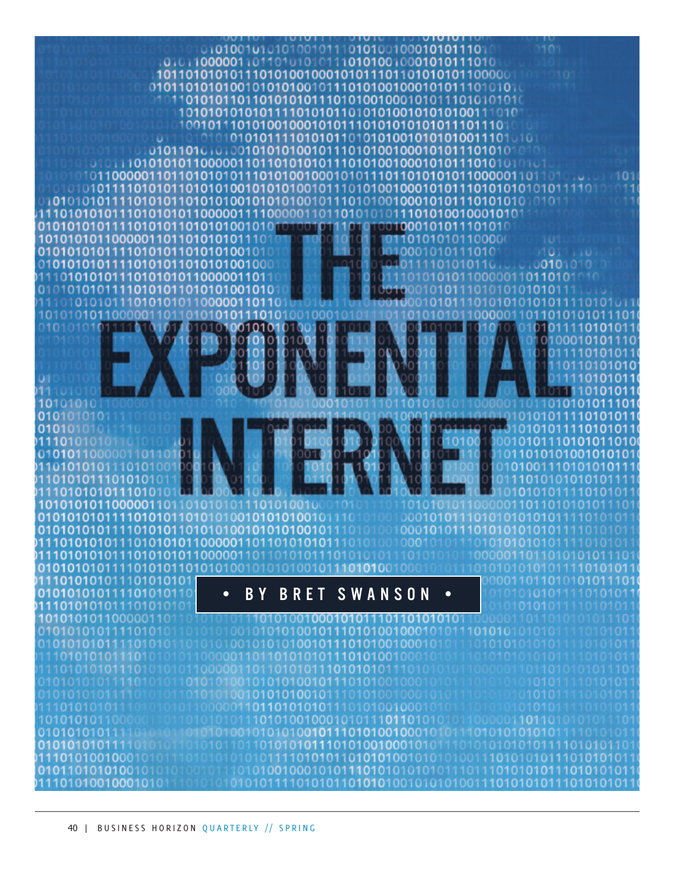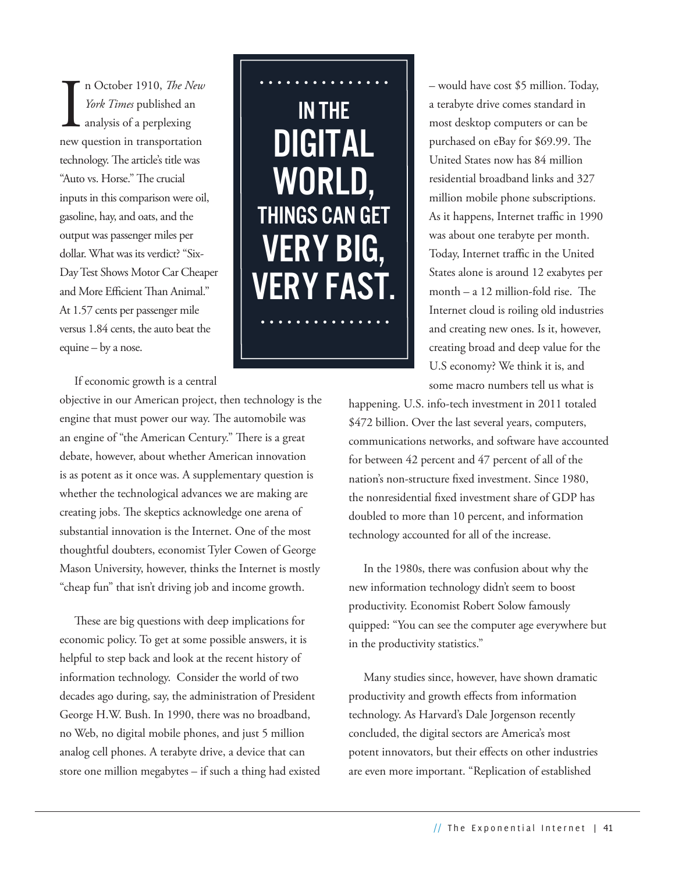In October 1910, *The New York Times* published an analysis of a perplexing new question in transportation n October 1910, *The New York Times* published an analysis of a perplexing technology. The article's title was "Auto vs. Horse." The crucial inputs in this comparison were oil, gasoline, hay, and oats, and the output was passenger miles per dollar. What was its verdict? "Six-Day Test Shows Motor Car Cheaper and More Efficient Than Animal." At 1.57 cents per passenger mile versus 1.84 cents, the auto beat the equine – by a nose.

In the digital world, things can get very big, FRY FA

If economic growth is a central

objective in our American project, then technology is the engine that must power our way. The automobile was an engine of "the American Century." There is a great debate, however, about whether American innovation is as potent as it once was. A supplementary question is whether the technological advances we are making are creating jobs. The skeptics acknowledge one arena of substantial innovation is the Internet. One of the most thoughtful doubters, economist Tyler Cowen of George Mason University, however, thinks the Internet is mostly "cheap fun" that isn't driving job and income growth.

These are big questions with deep implications for economic policy. To get at some possible answers, it is helpful to step back and look at the recent history of information technology. Consider the world of two decades ago during, say, the administration of President George H.W. Bush. In 1990, there was no broadband, no Web, no digital mobile phones, and just 5 million analog cell phones. A terabyte drive, a device that can store one million megabytes – if such a thing had existed – would have cost \$5 million. Today, a terabyte drive comes standard in most desktop computers or can be purchased on eBay for \$69.99. The United States now has 84 million residential broadband links and 327 million mobile phone subscriptions. As it happens, Internet traffic in 1990 was about one terabyte per month. Today, Internet traffic in the United States alone is around 12 exabytes per month – a 12 million-fold rise. The Internet cloud is roiling old industries and creating new ones. Is it, however, creating broad and deep value for the U.S economy? We think it is, and some macro numbers tell us what is

happening. U.S. info-tech investment in 2011 totaled \$472 billion. Over the last several years, computers, communications networks, and software have accounted for between 42 percent and 47 percent of all of the nation's non-structure fixed investment. Since 1980, the nonresidential fixed investment share of GDP has doubled to more than 10 percent, and information technology accounted for all of the increase.

In the 1980s, there was confusion about why the new information technology didn't seem to boost productivity. Economist Robert Solow famously quipped: "You can see the computer age everywhere but in the productivity statistics."

Many studies since, however, have shown dramatic productivity and growth effects from information technology. As Harvard's Dale Jorgenson recently concluded, the digital sectors are America's most potent innovators, but their effects on other industries are even more important. "Replication of established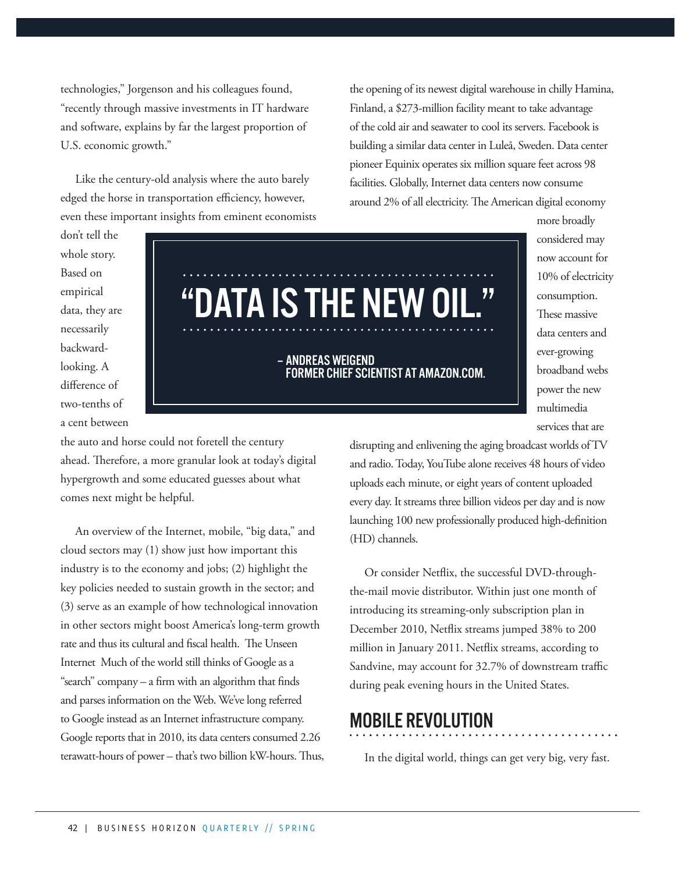technologies," Jorgenson and his colleagues found, "recently through massive investments in IT hardware and software, explains by far the largest proportion of U.S. economic growth."

Like the century-old analysis where the auto barely edged the horse in transportation efficiency, however, even these important insights from eminent economists

the opening of its newest digital warehouse in chilly Hamina, Finland, a \$273-million facility meant to take advantage of the cold air and seawater to cool its servers. Facebook is building a similar data center in Luleå, Sweden. Data center pioneer Equinix operates six million square feet across 98 facilities. Globally, Internet data centers now consume around 2% of all electricity. The American digital economy

don't tell the whole story. Based on empirical data, they are necessarily backwardlooking. A difference of two-tenths of a cent between

# "DATA IS THE NEW OIL."

#### – Andreas Weigend former chief scientist at Amazon.com.

the auto and horse could not foretell the century ahead. Therefore, a more granular look at today's digital hypergrowth and some educated guesses about what comes next might be helpful.

An overview of the Internet, mobile, "big data," and cloud sectors may (1) show just how important this industry is to the economy and jobs; (2) highlight the key policies needed to sustain growth in the sector; and (3) serve as an example of how technological innovation in other sectors might boost America's long-term growth rate and thus its cultural and fiscal health. The Unseen Internet Much of the world still thinks of Google as a "search" company – a firm with an algorithm that finds and parses information on the Web. We've long referred to Google instead as an Internet infrastructure company. Google reports that in 2010, its data centers consumed 2.26 terawatt-hours of power – that's two billion kW-hours. Thus,

10% of electricity consumption. These massive data centers and ever-growing broadband webs power the new multimedia services that are

more broadly considered may now account for

disrupting and enlivening the aging broadcast worlds of TV and radio. Today, YouTube alone receives 48 hours of video uploads each minute, or eight years of content uploaded every day. It streams three billion videos per day and is now launching 100 new professionally produced high-definition (HD) channels.

Or consider Netflix, the successful DVD-throughthe-mail movie distributor. Within just one month of introducing its streaming-only subscription plan in December 2010, Netflix streams jumped 38% to 200 million in January 2011. Netflix streams, according to Sandvine, may account for 32.7% of downstream traffic during peak evening hours in the United States.

### Mobile Revolution

In the digital world, things can get very big, very fast.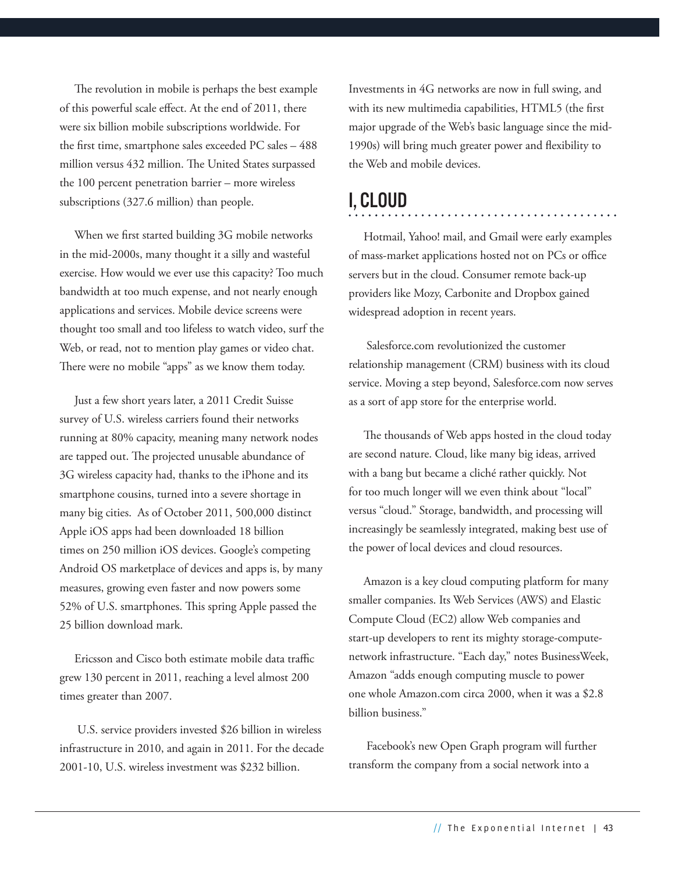The revolution in mobile is perhaps the best example of this powerful scale effect. At the end of 2011, there were six billion mobile subscriptions worldwide. For the first time, smartphone sales exceeded PC sales – 488 million versus 432 million. The United States surpassed the 100 percent penetration barrier – more wireless subscriptions (327.6 million) than people.

When we first started building 3G mobile networks in the mid-2000s, many thought it a silly and wasteful exercise. How would we ever use this capacity? Too much bandwidth at too much expense, and not nearly enough applications and services. Mobile device screens were thought too small and too lifeless to watch video, surf the Web, or read, not to mention play games or video chat. There were no mobile "apps" as we know them today.

Just a few short years later, a 2011 Credit Suisse survey of U.S. wireless carriers found their networks running at 80% capacity, meaning many network nodes are tapped out. The projected unusable abundance of 3G wireless capacity had, thanks to the iPhone and its smartphone cousins, turned into a severe shortage in many big cities. As of October 2011, 500,000 distinct Apple iOS apps had been downloaded 18 billion times on 250 million iOS devices. Google's competing Android OS marketplace of devices and apps is, by many measures, growing even faster and now powers some 52% of U.S. smartphones. This spring Apple passed the 25 billion download mark.

Ericsson and Cisco both estimate mobile data traffic grew 130 percent in 2011, reaching a level almost 200 times greater than 2007.

 U.S. service providers invested \$26 billion in wireless infrastructure in 2010, and again in 2011. For the decade 2001-10, U.S. wireless investment was \$232 billion.

Investments in 4G networks are now in full swing, and with its new multimedia capabilities, HTML5 (the first major upgrade of the Web's basic language since the mid-1990s) will bring much greater power and flexibility to the Web and mobile devices.

## I, Cloud

Hotmail, Yahoo! mail, and Gmail were early examples of mass-market applications hosted not on PCs or office servers but in the cloud. Consumer remote back-up providers like Mozy, Carbonite and Dropbox gained widespread adoption in recent years.

. . . . . . . . . . . . . . . . . .

 Salesforce.com revolutionized the customer relationship management (CRM) business with its cloud service. Moving a step beyond, Salesforce.com now serves as a sort of app store for the enterprise world.

The thousands of Web apps hosted in the cloud today are second nature. Cloud, like many big ideas, arrived with a bang but became a cliché rather quickly. Not for too much longer will we even think about "local" versus "cloud." Storage, bandwidth, and processing will increasingly be seamlessly integrated, making best use of the power of local devices and cloud resources.

Amazon is a key cloud computing platform for many smaller companies. Its Web Services (AWS) and Elastic Compute Cloud (EC2) allow Web companies and start-up developers to rent its mighty storage-computenetwork infrastructure. "Each day," notes BusinessWeek, Amazon "adds enough computing muscle to power one whole Amazon.com circa 2000, when it was a \$2.8 billion business."

 Facebook's new Open Graph program will further transform the company from a social network into a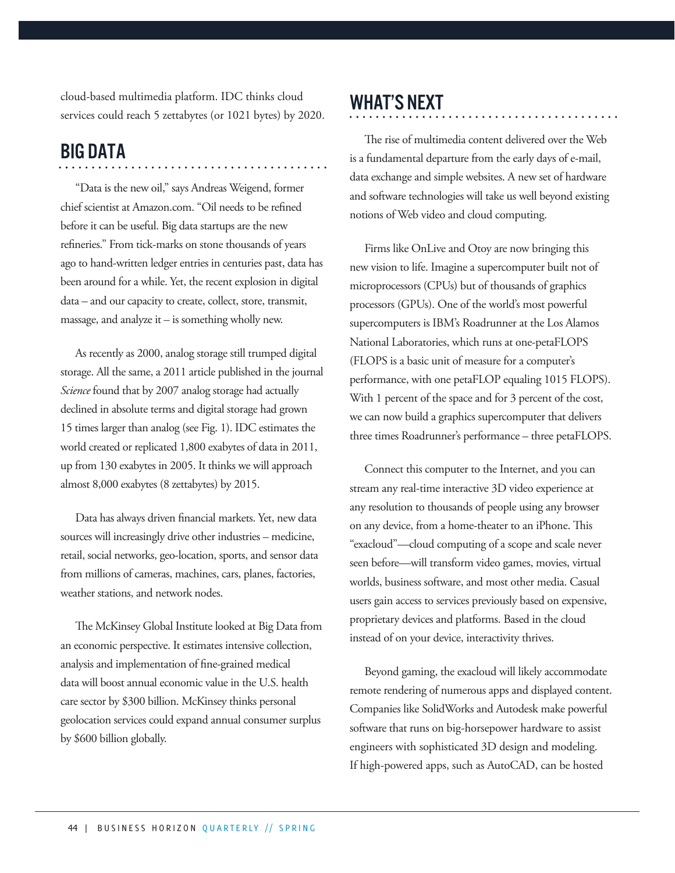cloud-based multimedia platform. IDC thinks cloud services could reach 5 zettabytes (or 1021 bytes) by 2020.

# **BIG DATA**

"Data is the new oil," says Andreas Weigend, former chief scientist at Amazon.com. "Oil needs to be refined before it can be useful. Big data startups are the new refineries." From tick-marks on stone thousands of years ago to hand-written ledger entries in centuries past, data has been around for a while. Yet, the recent explosion in digital data – and our capacity to create, collect, store, transmit, massage, and analyze it  $-$  is something wholly new.

As recently as 2000, analog storage still trumped digital storage. All the same, a 2011 article published in the journal *Science* found that by 2007 analog storage had actually declined in absolute terms and digital storage had grown 15 times larger than analog (see Fig. 1). IDC estimates the world created or replicated 1,800 exabytes of data in 2011, up from 130 exabytes in 2005. It thinks we will approach almost 8,000 exabytes (8 zettabytes) by 2015.

Data has always driven financial markets. Yet, new data sources will increasingly drive other industries – medicine, retail, social networks, geo-location, sports, and sensor data from millions of cameras, machines, cars, planes, factories, weather stations, and network nodes.

The McKinsey Global Institute looked at Big Data from an economic perspective. It estimates intensive collection, analysis and implementation of fine-grained medical data will boost annual economic value in the U.S. health care sector by \$300 billion. McKinsey thinks personal geolocation services could expand annual consumer surplus by \$600 billion globally.

# WHAT'S NEXT

The rise of multimedia content delivered over the Web is a fundamental departure from the early days of e-mail, data exchange and simple websites. A new set of hardware and software technologies will take us well beyond existing notions of Web video and cloud computing.

Firms like OnLive and Otoy are now bringing this new vision to life. Imagine a supercomputer built not of microprocessors (CPUs) but of thousands of graphics processors (GPUs). One of the world's most powerful supercomputers is IBM's Roadrunner at the Los Alamos National Laboratories, which runs at one-petaFLOPS (FLOPS is a basic unit of measure for a computer's performance, with one petaFLOP equaling 1015 FLOPS). With 1 percent of the space and for 3 percent of the cost, we can now build a graphics supercomputer that delivers three times Roadrunner's performance – three petaFLOPS.

Connect this computer to the Internet, and you can stream any real-time interactive 3D video experience at any resolution to thousands of people using any browser on any device, from a home-theater to an iPhone. This "exacloud"—cloud computing of a scope and scale never seen before—will transform video games, movies, virtual worlds, business software, and most other media. Casual users gain access to services previously based on expensive, proprietary devices and platforms. Based in the cloud instead of on your device, interactivity thrives.

Beyond gaming, the exacloud will likely accommodate remote rendering of numerous apps and displayed content. Companies like SolidWorks and Autodesk make powerful software that runs on big-horsepower hardware to assist engineers with sophisticated 3D design and modeling. If high-powered apps, such as AutoCAD, can be hosted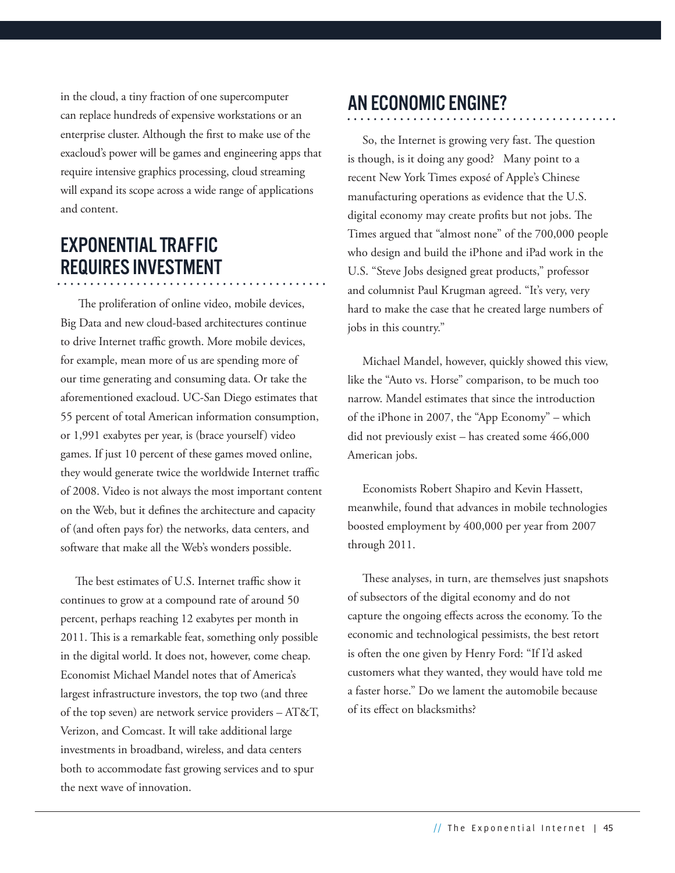in the cloud, a tiny fraction of one supercomputer can replace hundreds of expensive workstations or an enterprise cluster. Although the first to make use of the exacloud's power will be games and engineering apps that require intensive graphics processing, cloud streaming will expand its scope across a wide range of applications and content.

# Exponential Traffic Requires Investment

 The proliferation of online video, mobile devices, Big Data and new cloud-based architectures continue to drive Internet traffic growth. More mobile devices, for example, mean more of us are spending more of our time generating and consuming data. Or take the aforementioned exacloud. UC-San Diego estimates that 55 percent of total American information consumption, or 1,991 exabytes per year, is (brace yourself) video games. If just 10 percent of these games moved online, they would generate twice the worldwide Internet traffic of 2008. Video is not always the most important content on the Web, but it defines the architecture and capacity of (and often pays for) the networks, data centers, and software that make all the Web's wonders possible.

The best estimates of U.S. Internet traffic show it continues to grow at a compound rate of around 50 percent, perhaps reaching 12 exabytes per month in 2011. This is a remarkable feat, something only possible in the digital world. It does not, however, come cheap. Economist Michael Mandel notes that of America's largest infrastructure investors, the top two (and three of the top seven) are network service providers – AT&T, Verizon, and Comcast. It will take additional large investments in broadband, wireless, and data centers both to accommodate fast growing services and to spur the next wave of innovation.

# An Economic Engine?

So, the Internet is growing very fast. The question is though, is it doing any good? Many point to a recent New York Times exposé of Apple's Chinese manufacturing operations as evidence that the U.S. digital economy may create profits but not jobs. The Times argued that "almost none" of the 700,000 people who design and build the iPhone and iPad work in the U.S. "Steve Jobs designed great products," professor and columnist Paul Krugman agreed. "It's very, very hard to make the case that he created large numbers of jobs in this country."

Michael Mandel, however, quickly showed this view, like the "Auto vs. Horse" comparison, to be much too narrow. Mandel estimates that since the introduction of the iPhone in 2007, the "App Economy" – which did not previously exist – has created some 466,000 American jobs.

Economists Robert Shapiro and Kevin Hassett, meanwhile, found that advances in mobile technologies boosted employment by 400,000 per year from 2007 through 2011.

These analyses, in turn, are themselves just snapshots of subsectors of the digital economy and do not capture the ongoing effects across the economy. To the economic and technological pessimists, the best retort is often the one given by Henry Ford: "If I'd asked customers what they wanted, they would have told me a faster horse." Do we lament the automobile because of its effect on blacksmiths?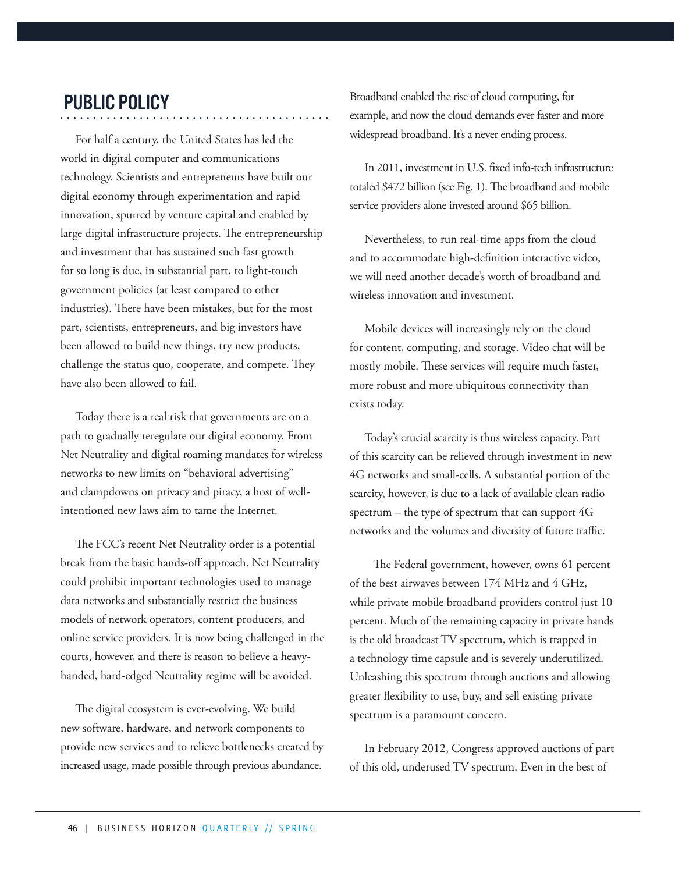# Public Policy

For half a century, the United States has led the world in digital computer and communications technology. Scientists and entrepreneurs have built our digital economy through experimentation and rapid innovation, spurred by venture capital and enabled by large digital infrastructure projects. The entrepreneurship and investment that has sustained such fast growth for so long is due, in substantial part, to light-touch government policies (at least compared to other industries). There have been mistakes, but for the most part, scientists, entrepreneurs, and big investors have been allowed to build new things, try new products, challenge the status quo, cooperate, and compete. They have also been allowed to fail.

Today there is a real risk that governments are on a path to gradually reregulate our digital economy. From Net Neutrality and digital roaming mandates for wireless networks to new limits on "behavioral advertising" and clampdowns on privacy and piracy, a host of wellintentioned new laws aim to tame the Internet.

The FCC's recent Net Neutrality order is a potential break from the basic hands-off approach. Net Neutrality could prohibit important technologies used to manage data networks and substantially restrict the business models of network operators, content producers, and online service providers. It is now being challenged in the courts, however, and there is reason to believe a heavyhanded, hard-edged Neutrality regime will be avoided.

The digital ecosystem is ever-evolving. We build new software, hardware, and network components to provide new services and to relieve bottlenecks created by increased usage, made possible through previous abundance.

Broadband enabled the rise of cloud computing, for example, and now the cloud demands ever faster and more widespread broadband. It's a never ending process.

In 2011, investment in U.S. fixed info-tech infrastructure totaled \$472 billion (see Fig. 1). The broadband and mobile service providers alone invested around \$65 billion.

Nevertheless, to run real-time apps from the cloud and to accommodate high-definition interactive video, we will need another decade's worth of broadband and wireless innovation and investment.

Mobile devices will increasingly rely on the cloud for content, computing, and storage. Video chat will be mostly mobile. These services will require much faster, more robust and more ubiquitous connectivity than exists today.

Today's crucial scarcity is thus wireless capacity. Part of this scarcity can be relieved through investment in new 4G networks and small-cells. A substantial portion of the scarcity, however, is due to a lack of available clean radio spectrum – the type of spectrum that can support 4G networks and the volumes and diversity of future traffic.

 The Federal government, however, owns 61 percent of the best airwaves between 174 MHz and 4 GHz, while private mobile broadband providers control just 10 percent. Much of the remaining capacity in private hands is the old broadcast TV spectrum, which is trapped in a technology time capsule and is severely underutilized. Unleashing this spectrum through auctions and allowing greater flexibility to use, buy, and sell existing private spectrum is a paramount concern.

In February 2012, Congress approved auctions of part of this old, underused TV spectrum. Even in the best of